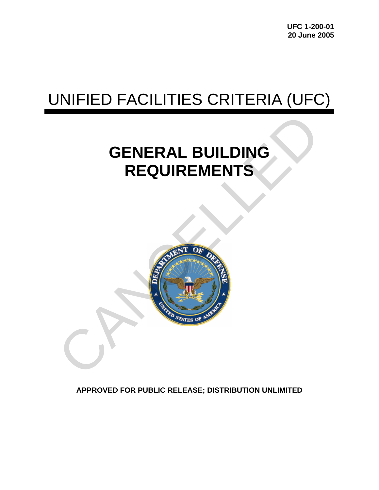**UFC 1-200-01 20 June 2005** 

# UNIFIED FACILITIES CRITERIA (UFC)

## **GENERAL BUILDING REQUIREMENTS**



**APPROVED FOR PUBLIC RELEASE; DISTRIBUTION UNLIMITED**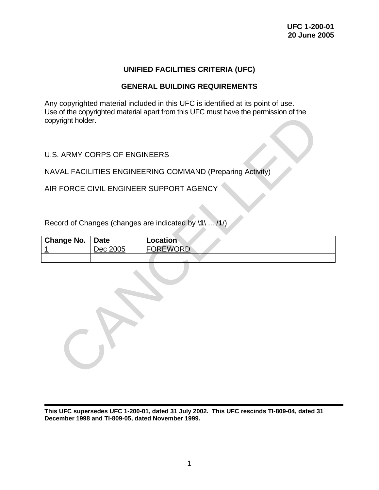## **UNIFIED FACILITIES CRITERIA (UFC)**

## **GENERAL BUILDING REQUIREMENTS**

Any copyrighted material included in this UFC is identified at its point of use. Use of the copyrighted material apart from this UFC must have the permission of the copyright holder.

## U.S. ARMY CORPS OF ENGINEERS

| copyright holder.                                         |             | USE OF the CODYNGHIEQ Intatental apartment this OFC Intest have the permission of the |  |  |  |
|-----------------------------------------------------------|-------------|---------------------------------------------------------------------------------------|--|--|--|
| <b>U.S. ARMY CORPS OF ENGINEERS</b>                       |             |                                                                                       |  |  |  |
| NAVAL FACILITIES ENGINEERING COMMAND (Preparing Activity) |             |                                                                                       |  |  |  |
| AIR FORCE CIVIL ENGINEER SUPPORT AGENCY                   |             |                                                                                       |  |  |  |
|                                                           |             |                                                                                       |  |  |  |
| Record of Changes (changes are indicated by \1\  /1/)     |             |                                                                                       |  |  |  |
| <b>Change No.</b>                                         | <b>Date</b> | Location                                                                              |  |  |  |
| 1                                                         | Dec 2005    | <b>FOREWORD</b>                                                                       |  |  |  |
|                                                           |             |                                                                                       |  |  |  |
|                                                           |             |                                                                                       |  |  |  |

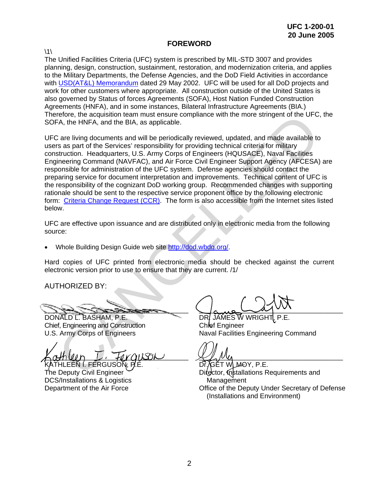#### **FOREWORD**

 $\backslash$ 1 $\backslash$ 

The Unified Facilities Criteria (UFC) system is prescribed by MIL-STD 3007 and provides planning, design, construction, sustainment, restoration, and modernization criteria, and applies to the Military Departments, the Defense Agencies, and the DoD Field Activities in accordance with [USD\(AT&L\) Memorandum](http://www.wbdg.org/pdfs/ufc_implementation.pdf) dated 29 May 2002. UFC will be used for all DoD projects and work for other customers where appropriate. All construction outside of the United States is also governed by Status of forces Agreements (SOFA), Host Nation Funded Construction Agreements (HNFA), and in some instances, Bilateral Infrastructure Agreements (BIA.) Therefore, the acquisition team must ensure compliance with the more stringent of the UFC, the SOFA, the HNFA, and the BIA, as applicable.

UFC are living documents and will be periodically reviewed, updated, and made available to users as part of the Services' responsibility for providing technical criteria for military construction. Headquarters, U.S. Army Corps of Engineers (HQUSACE), Naval Facilities Engineering Command (NAVFAC), and Air Force Civil Engineer Support Agency (AFCESA) are responsible for administration of the UFC system. Defense agencies should contact the preparing service for document interpretation and improvements. Technical content of UFC is the responsibility of the cognizant DoD working group. Recommended changes with supporting rationale should be sent to the respective service proponent office by the following electronic form: [Criteria Change Request \(CCR\)](http://www.projnet.org/projnet/cms/public.html). The form is also accessible from the Internet sites listed below. refore, the acquisition team must ensure compliance with the more stringent of the UFC,<br>
FA, the HNFA, and the BIA, as applicable,<br>
2 are living documents and will be periodically reviewed, updated, and made available to<br>

UFC are effective upon issuance and are distributed only in electronic media from the following source:

• Whole Building Design Guide web site [http://dod.wbdg.org/.](http://dod.wbdg.org)

Hard copies of UFC printed from electronic media should be checked against the current electronic version prior to use to ensure that they are current. /1/

AUTHORIZED BY:

 $\sim$   $\sim$   $\sim$ 

DONALD L. BASHAM, P.E. Chief, Engineering and Construction U.S. Army Corps of Engineers

 $\land \alpha$ mun  $L$ , forguson  $ATHLEEN$   $I.$  FERGUSON.

The Deputy Civil Engineer DCS/Installations & Logistics Department of the Air Force

 $\sqrt{a_{\rm max} - a_{\rm j} - a_{\rm j} - a_{\rm j} - a_{\rm j} - a_{\rm j} - a_{\rm j} - a_{\rm j} - a_{\rm j} - a_{\rm j} - a_{\rm j} - a_{\rm j} - a_{\rm j} - a_{\rm j} - a_{\rm j} - a_{\rm j} - a_{\rm j} - a_{\rm j} - a_{\rm j} - a_{\rm j} - a_{\rm j} - a_{\rm j} - a_{\rm j} - a_{\rm j} - a_{\rm j} - a_{\rm j} - a_{\rm j} - a_{\rm j} - a_{\rm j} - a_{\rm j} - a_{\rm j} -$ 

DR. JAMES W WRIGHT Chief Engineer Naval Facilities Engineering Command

 $\chi$ Dr̃, ⁄̄GĚT WLM-OY, P.E. Difector, Installations Requirements and **Management** Office of the Deputy Under Secretary of Defense (Installations and Environment)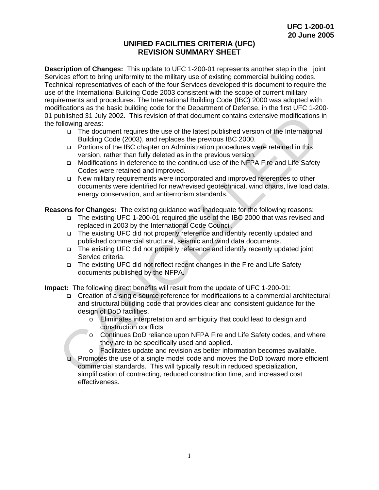#### **UNIFIED FACILITIES CRITERIA (UFC) REVISION SUMMARY SHEET**

**Description of Changes:** This update to UFC 1-200-01 represents another step in the joint Services effort to bring uniformity to the military use of existing commercial building codes. Technical representatives of each of the four Services developed this document to require the use of the International Building Code 2003 consistent with the scope of current military requirements and procedures. The International Building Code (IBC) 2000 was adopted with modifications as the basic building code for the Department of Defense, in the first UFC 1-200- 01 published 31 July 2002. This revision of that document contains extensive modifications in the following areas:

- The document requires the use of the latest published version of the International Building Code (2003), and replaces the previous IBC 2000.
- Portions of the IBC chapter on Administration procedures were retained in this version, rather than fully deleted as in the previous version.
- Modifications in deference to the continued use of the NFPA Fire and Life Safety Codes were retained and improved.
- New military requirements were incorporated and improved references to other documents were identified for new/revised geotechnical, wind charts, live load data, energy conservation, and antiterrorism standards.

**Reasons for Changes:** The existing guidance was inadequate for the following reasons:

- The existing UFC 1-200-01 required the use of the IBC 2000 that was revised and replaced in 2003 by the International Code Council.
- The existing UFC did not properly reference and identify recently updated and published commercial structural, seismic and wind data documents.
- □ The existing UFC did not properly reference and identify recently updated joint Service criteria.
- The existing UFC did not reflect recent changes in the Fire and Life Safety documents published by the NFPA.

**Impact:** The following direct benefits will result from the update of UFC 1-200-01:

- Creation of a single source reference for modifications to a commercial architectural and structural building code that provides clear and consistent guidance for the design of DoD facilities. by a 3 July 2002. This revision of that document contains extensive modifications<br>
1 Globiving areas:<br>
α The document requires the use of the latest published version of the Internationa<br>
Building Code (2003), and replace
	- o Eliminates interpretation and ambiguity that could lead to design and construction conflicts
	- o Continues DoD reliance upon NFPA Fire and Life Safety codes, and where they are to be specifically used and applied.
	- o Facilitates update and revision as better information becomes available.
	- Promotes the use of a single model code and moves the DoD toward more efficient commercial standards. This will typically result in reduced specialization, simplification of contracting, reduced construction time, and increased cost effectiveness.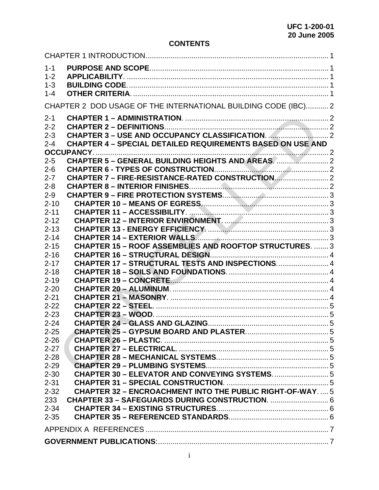## **CONTENTS**

| $1 - 1$<br>$1 - 2$<br>$1 - 3$<br>$1 - 4$ |                                                                   |  |  |  |
|------------------------------------------|-------------------------------------------------------------------|--|--|--|
|                                          | CHAPTER 2 DOD USAGE OF THE INTERNATIONAL BUILDING CODE (IBC)2     |  |  |  |
| $2 - 1$<br>$2 - 2$<br>$2 - 3$<br>$2 - 4$ | <b>CHAPTER 4 - SPECIAL DETAILED REQUIREMENTS BASED ON USE AND</b> |  |  |  |
| $2 - 5$                                  |                                                                   |  |  |  |
| $2 - 6$                                  |                                                                   |  |  |  |
| $2 - 7$                                  | CHAPTER 7 - FIRE-RESISTANCE-RATED CONSTRUCTION                    |  |  |  |
| $2 - 8$                                  |                                                                   |  |  |  |
| $2 - 9$                                  |                                                                   |  |  |  |
| $2 - 10$                                 |                                                                   |  |  |  |
| $2 - 11$                                 |                                                                   |  |  |  |
| $2 - 12$                                 |                                                                   |  |  |  |
| $2 - 13$                                 |                                                                   |  |  |  |
| $2 - 14$                                 |                                                                   |  |  |  |
| $2 - 15$                                 | <b>CHAPTER 15 - ROOF ASSEMBLIES AND ROOFTOP STRUCTURES.  3</b>    |  |  |  |
| $2 - 16$                                 |                                                                   |  |  |  |
| $2 - 17$                                 | CHAPTER 17 - STRUCTURAL TESTS AND INSPECTIONS 4                   |  |  |  |
| $2 - 18$                                 |                                                                   |  |  |  |
| $2 - 19$                                 |                                                                   |  |  |  |
| $2 - 20$                                 |                                                                   |  |  |  |
| $2 - 21$                                 |                                                                   |  |  |  |
| $2 - 22$                                 |                                                                   |  |  |  |
| $2 - 23$                                 |                                                                   |  |  |  |
| $2 - 24$                                 |                                                                   |  |  |  |
| $2 - 25$                                 |                                                                   |  |  |  |
| $2 - 26$                                 |                                                                   |  |  |  |
| $2 - 27$                                 |                                                                   |  |  |  |
| $2 - 28$                                 |                                                                   |  |  |  |
| $2 - 29$                                 |                                                                   |  |  |  |
| $2 - 30$                                 |                                                                   |  |  |  |
| $2 - 31$                                 |                                                                   |  |  |  |
| $2 - 32$                                 | <b>CHAPTER 32 - ENCROACHMENT INTO THE PUBLIC RIGHT-OF-WAY5</b>    |  |  |  |
| 233                                      |                                                                   |  |  |  |
| $2 - 34$                                 |                                                                   |  |  |  |
| $2 - 35$                                 |                                                                   |  |  |  |
|                                          |                                                                   |  |  |  |
|                                          |                                                                   |  |  |  |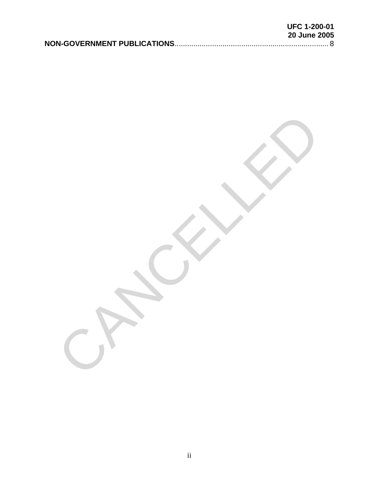| <b>UFC 1-200-01</b> |
|---------------------|
| <b>20 June 2005</b> |
|                     |

CANCELLED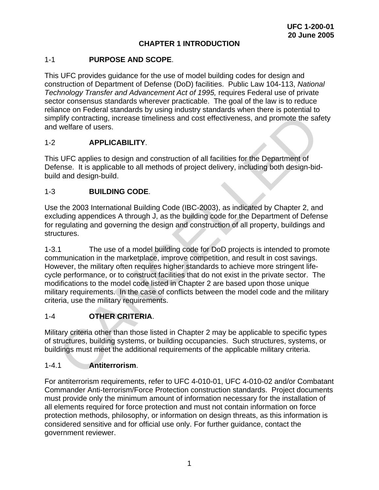## **CHAPTER 1 INTRODUCTION**

#### <span id="page-6-0"></span>1-1 **PURPOSE AND SCOPE**.

This UFC provides guidance for the use of model building codes for design and construction of Department of Defense (DoD) facilities. Public Law 104-113, *National Technology Transfer and Advancement Act of 1995,* requires Federal use of private sector consensus standards wherever practicable. The goal of the law is to reduce reliance on Federal standards by using industry standards when there is potential to simplify contracting, increase timeliness and cost effectiveness, and promote the safety and welfare of users.

## 1-2 **APPLICABILITY**.

This UFC applies to design and construction of all facilities for the Department of Defense. It is applicable to all methods of project delivery, including both design-bidbuild and design-build.

## 1-3 **BUILDING CODE**.

Use the 2003 International Building Code (IBC-2003), as indicated by Chapter 2, and excluding appendices A through J, as the building code for the Department of Defense for regulating and governing the design and construction of all property, buildings and structures.

1-3.1 The use of a model building code for DoD projects is intended to promote communication in the marketplace, improve competition, and result in cost savings. However, the military often requires higher standards to achieve more stringent lifecycle performance, or to construct facilities that do not exist in the private sector. The modifications to the model code listed in Chapter 2 are based upon those unique military requirements. In the case of conflicts between the model code and the military criteria, use the military requirements. plify contracting, increase timeliness and cost effectiveness, and promote the saft welfare of users.<br> **APPLICABILITY**.<br>
SUFC applies to design and construction of all facilities for the Department of<br>
ense. It is applicab

## 1-4 **OTHER CRITERIA**.

Military criteria other than those listed in Chapter 2 may be applicable to specific types of structures, building systems, or building occupancies. Such structures, systems, or buildings must meet the additional requirements of the applicable military criteria.

#### 1-4.1 **Antiterrorism**.

For antiterrorism requirements, refer to UFC 4-010-01, UFC 4-010-02 and/or Combatant Commander Anti-terrorism/Force Protection construction standards. Project documents must provide only the minimum amount of information necessary for the installation of all elements required for force protection and must not contain information on force protection methods, philosophy, or information on design threats, as this information is considered sensitive and for official use only. For further guidance, contact the government reviewer.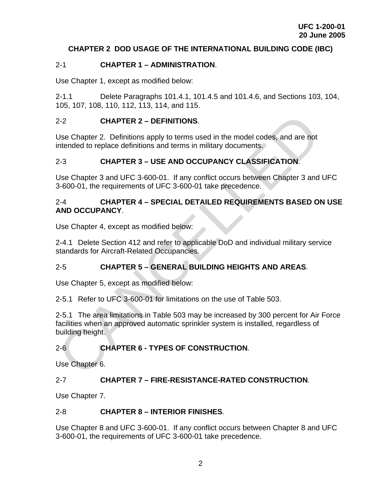## <span id="page-7-0"></span>**CHAPTER 2 DOD USAGE OF THE INTERNATIONAL BUILDING CODE (IBC)**

## 2-1 **CHAPTER 1 – ADMINISTRATION**.

Use Chapter 1, except as modified below:

2-1.1 Delete Paragraphs 101.4.1, 101.4.5 and 101.4.6, and Sections 103, 104, 105, 107, 108, 110, 112, 113, 114, and 115.

## 2-2 **CHAPTER 2 – DEFINITIONS**.

Use Chapter 2. Definitions apply to terms used in the model codes, and are not intended to replace definitions and terms in military documents.

## 2-3 **CHAPTER 3 – USE AND OCCUPANCY CLASSIFICATION**.

Use Chapter 3 and UFC 3-600-01. If any conflict occurs between Chapter 3 and UFC 3-600-01, the requirements of UFC 3-600-01 take precedence.

## 2-4 **CHAPTER 4 – SPECIAL DETAILED REQUIREMENTS BASED ON USE AND OCCUPANCY**.

Use Chapter 4, except as modified below:

2-4.1 Delete Section 412 and refer to applicable DoD and individual military service standards for Aircraft-Related Occupancies.

## 2-5 **CHAPTER 5 – GENERAL BUILDING HEIGHTS AND AREAS**.

Use Chapter 5, except as modified below:

2-5.1 Refer to UFC 3-600-01 for limitations on the use of Table 503.

2-5.1 The area limitations in Table 503 may be increased by 300 percent for Air Force facilities when an approved automatic sprinkler system is installed, regardless of building height. 2-2 **CHAPTER 2 – DEFINITIONS.**<br>
Use Chapter 2. Definitions apply to terms used in the model codes, and are not<br>
intended to replace definitions and terms in military documents.<br>
2-3 **CHAPTER 3 – USE AND OCCUPANCY CLASSIFIC** 

## 2-6 **CHAPTER 6 - TYPES OF CONSTRUCTION**.

Use Chapter 6.

## 2-7 **CHAPTER 7 – FIRE-RESISTANCE-RATED CONSTRUCTION**.

Use Chapter 7.

## 2-8 **CHAPTER 8 – INTERIOR FINISHES**.

Use Chapter 8 and UFC 3-600-01. If any conflict occurs between Chapter 8 and UFC 3-600-01, the requirements of UFC 3-600-01 take precedence.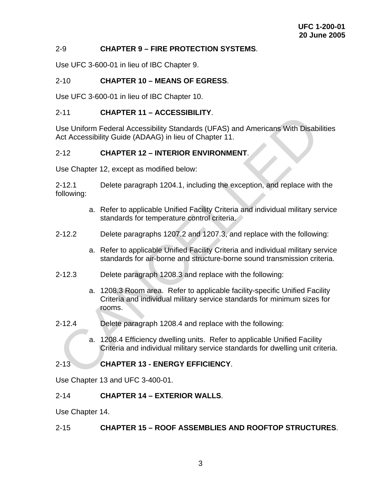#### <span id="page-8-0"></span>2-9 **CHAPTER 9 – FIRE PROTECTION SYSTEMS**.

Use UFC 3-600-01 in lieu of IBC Chapter 9.

#### 2-10 **CHAPTER 10 – MEANS OF EGRESS**.

Use UFC 3-600-01 in lieu of IBC Chapter 10.

#### 2-11 **CHAPTER 11 – ACCESSIBILITY**.

Use Uniform Federal Accessibility Standards (UFAS) and Americans With Disabilities Act Accessibility Guide (ADAAG) in lieu of Chapter 11.

#### 2-12 **CHAPTER 12 – INTERIOR ENVIRONMENT**.

Use Chapter 12, except as modified below:

2-12.1 Delete paragraph 1204.1, including the exception, and replace with the following:

- a. Refer to applicable Unified Facility Criteria and individual military service standards for temperature control criteria.
- 2-12.2 Delete paragraphs 1207.2 and 1207.3, and replace with the following:
	- a. Refer to applicable Unified Facility Criteria and individual military service standards for air-borne and structure-borne sound transmission criteria.
- 2-12.3 Delete paragraph 1208.3 and replace with the following:
- a. 1208.3 Room area. Refer to applicable facility-specific Unified Facility Criteria and individual military service standards for minimum sizes for rooms. CHAPTER 11 – ACCESSIBILITY.<br>
USIGN Uniform Federal Accessibility Standards (UFAS) and Americans With Disabi<br>
Act Accessibility Guide (ADAG) in lieu of Chapter 11.<br>
2-12 CHAPTER 12 – INTERIOR ENVIRONMENT.<br>
Use Chapter 12, e
- 2-12.4 Delete paragraph 1208.4 and replace with the following:
	- a. 1208.4 Efficiency dwelling units. Refer to applicable Unified Facility Criteria and individual military service standards for dwelling unit criteria.

#### 2-13 **CHAPTER 13 - ENERGY EFFICIENCY**.

Use Chapter 13 and UFC 3-400-01.

#### 2-14 **CHAPTER 14 – EXTERIOR WALLS**.

Use Chapter 14.

#### 2-15 **CHAPTER 15 – ROOF ASSEMBLIES AND ROOFTOP STRUCTURES**.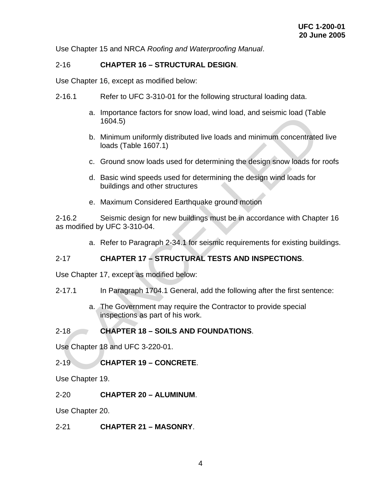<span id="page-9-0"></span>Use Chapter 15 and NRCA *Roofing and Waterproofing Manual*.

## 2-16 **CHAPTER 16 – STRUCTURAL DESIGN**.

Use Chapter 16, except as modified below:

- 2-16.1 Refer to UFC 3-310-01 for the following structural loading data.
	- a. Importance factors for snow load, wind load, and seismic load (Table 1604.5)
	- b. Minimum uniformly distributed live loads and minimum concentrated live loads (Table 1607.1)
	- c. Ground snow loads used for determining the design snow loads for roofs
	- d. Basic wind speeds used for determining the design wind loads for buildings and other structures
	- e. Maximum Considered Earthquake ground motion

2-16.2 Seismic design for new buildings must be in accordance with Chapter 16 as modified by UFC 3-310-04. a. Importance ractors for show load, wind load, and seismic load (180<br>1604.5)<br>
b. Minimum uniformly distributed live loads and minimum concentrated<br>
loads (Table 1607.1)<br>
c. Ground snow loads used for determining the desig

a. Refer to Paragraph 2-34.1 for seismic requirements for existing buildings.

## 2-17 **CHAPTER 17 – STRUCTURAL TESTS AND INSPECTIONS**.

Use Chapter 17, except as modified below:

- 2-17.1 In Paragraph 1704.1 General, add the following after the first sentence:
	- a. The Government may require the Contractor to provide special inspections as part of his work.

## 2-18 **CHAPTER 18 – SOILS AND FOUNDATIONS**.

Use Chapter 18 and UFC 3-220-01.

2-19 **CHAPTER 19 – CONCRETE**.

Use Chapter 19.

2-20 **CHAPTER 20 – ALUMINUM**.

Use Chapter 20.

2-21 **CHAPTER 21 – MASONRY**.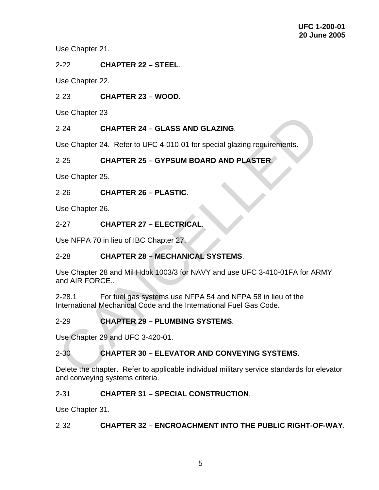<span id="page-10-0"></span>Use Chapter 21.

2-22 **CHAPTER 22 – STEEL**.

Use Chapter 22.

2-23 **CHAPTER 23 – WOOD**.

Use Chapter 23

## 2-24 **CHAPTER 24 – GLASS AND GLAZING**.

Use Chapter 24. Refer to UFC 4-010-01 for special glazing requirements.

## 2-25 **CHAPTER 25 – GYPSUM BOARD AND PLASTER**.

Use Chapter 25.

## 2-26 **CHAPTER 26 – PLASTIC**.

Use Chapter 26.

## 2-27 **CHAPTER 27 – ELECTRICAL**.

Use NFPA 70 in lieu of IBC Chapter 27.

## 2-28 **CHAPTER 28 – MECHANICAL SYSTEMS**.

Use Chapter 28 and Mil Hdbk 1003/3 for NAVY and use UFC 3-410-01FA for ARMY and AIR FORCE.. Use Chapter 23<br>
2-24 **CHAPTER 24 – GLASS AND GLAZING.**<br>
2-25 **CHAPTER 25 – GYPSUM BOARD AND PLASTER.**<br>
2-25 **CHAPTER 25 – GYPSUM BOARD AND PLASTER.**<br>
2-26 **CHAPTER 25 – PLASTIC.**<br>
2-27 **CHAPTER 27 – ELECTRICAL.**<br>
2-28 **CHA** 

2-28.1 For fuel gas systems use NFPA 54 and NFPA 58 in lieu of the International Mechanical Code and the International Fuel Gas Code.

## 2-29 **CHAPTER 29 – PLUMBING SYSTEMS**.

Use Chapter 29 and UFC 3-420-01.

## 2-30 **CHAPTER 30 – ELEVATOR AND CONVEYING SYSTEMS**.

Delete the chapter. Refer to applicable individual military service standards for elevator and conveying systems criteria.

## 2-31 **CHAPTER 31 – SPECIAL CONSTRUCTION**.

Use Chapter 31.

## 2-32 **CHAPTER 32 – ENCROACHMENT INTO THE PUBLIC RIGHT-OF-WAY**.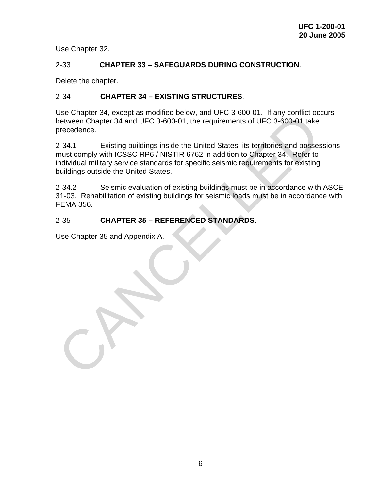<span id="page-11-0"></span>Use Chapter 32.

#### 2-33 **CHAPTER 33 – SAFEGUARDS DURING CONSTRUCTION**.

Delete the chapter.

#### 2-34 **CHAPTER 34 – EXISTING STRUCTURES**.

Use Chapter 34, except as modified below, and UFC 3-600-01. If any conflict occurs between Chapter 34 and UFC 3-600-01, the requirements of UFC 3-600-01 take precedence.

2-34.1 Existing buildings inside the United States, its territories and possessions must comply with ICSSC RP6 / NISTIR 6762 in addition to Chapter 34. Refer to individual military service standards for specific seismic requirements for existing buildings outside the United States. Use Chapter 34, except as modified between Chapter 34 and UFC 3-600-01, the requirements of UFC 3-600-01 take<br>between Chapter 34 and UFC 3-600-01, the requirements of UFC 3-600-01 take<br>precedence.<br>2-34.1 Existing buildings

2-34.2 Seismic evaluation of existing buildings must be in accordance with ASCE 31-03. Rehabilitation of existing buildings for seismic loads must be in accordance with FEMA 356.

#### 2-35 **CHAPTER 35 – REFERENCED STANDARDS**.

Use Chapter 35 and Appendix A.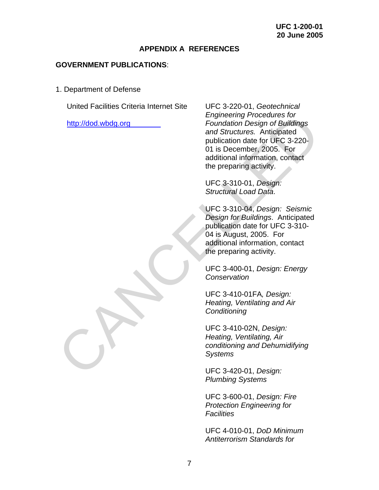#### **APPENDIX A REFERENCES**

#### <span id="page-12-0"></span>**GOVERNMENT PUBLICATIONS**:

1. Department of Defense

United Facilities Criteria Internet Site

http://dod.wbdg.org

UFC 3-220-01, *Geotechnical Engineering Procedures for Foundation Design of Buildings and Structures.* Anticipated publication date for UFC 3-220- 01 is December, 2005. For additional information, contact the preparing activity. Framework Framework of Foundation Design of Buildings<br>
and Structures. Anticipated<br>
publication design of Buildings<br>
and Structures. Anticipated<br>
publication distributed to UFC 3-220-<br>
01 is December, 2005. For<br>
additional

UFC 3-310-01, *Design: Structural Load Data*.

UFC 3-310-04, *Design: Seismic Design for Buildings*. Anticipated publication date for UFC 3-310- 04 is August, 2005. For additional information, contact the preparing activity.

UFC 3-400-01, *Design: Energy Conservation* 

UFC 3-410-01FA*, Design: Heating, Ventilating and Air Conditioning*

UFC 3-410-02N, *Design: Heating, Ventilating, Air conditioning and Dehumidifying Systems* 

UFC 3-420-01, *Design: Plumbing Systems*

UFC 3-600-01, *Design: Fire Protection Engineering for Facilities*

UFC 4-010-01, *DoD Minimum Antiterrorism Standards for*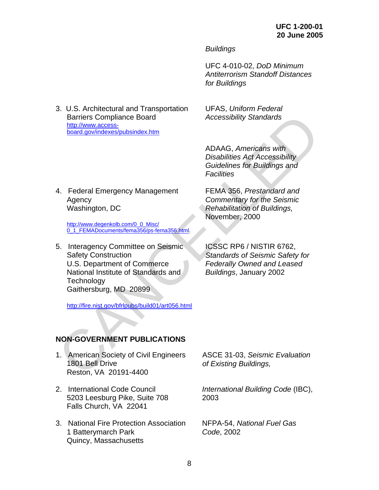*Buildings*

UFC 4-010-02, *DoD Minimum Antiterrorism Standoff Distances for Buildings*

<span id="page-13-0"></span>3. U.S. Architectural and Transportation Barriers Compliance Board http://www.accessboard.gov/indexes/pubsindex.htm

UFAS, *Uniform Federal Accessibility Standards*

ADAAG, *Americans with Disabilities Act Accessibility Guidelines for Buildings and Facilities*

FEMA 356, *Prestandard and Commentary for the Seismic Rehabilitation of Buildings,* 

November, 2000

4. Federal Emergency Management Agency Washington, DC

http://www.degenkolb.com/0\_0\_Misc/ 0\_1\_FEMADocuments/fema356/ps-fema356.html.

5. Interagency Committee on Seismic Safety Construction U.S. Department of Commerce National Institute of Standards and **Technology** Gaithersburg, MD 20899 Barriers Compliance Board<br>
http://www.accessic-<br>
hoard.gov/indexesipubsindex.htm<br>
Disabilities Aft ACcessibility<br>
Cuidellines Aft Accessibility<br>
Cuidellines for Buildings and<br>
Facilities<br>
4. Federal [E](http://www.fema.gov/cgi-shl/goodbye.pl?url=http://www.degenkolb.com/0_0_Misc/0_1_FEMADocuments/fema356/ps-fema356.html)mergency Management<br>
F

http://fire.nist.gov/bfrlpubs/build01/art056.html

**NON-GOVERNMENT PUBLICATIONS** 

- 1. American Society of Civil Engineers 1801 Bell Drive Reston, VA 20191-4400
- 2. International Code Council 5203 Leesburg Pike, Suite 708 Falls Church, VA 22041
- 3. National Fire Protection Association 1 Batterymarch Park Quincy, Massachusetts

ICSSC RP6 / NISTIR 6762, *Standards of Seismic Safety for Federally Owned and Leased Buildings*, January 2002

ASCE 31-03, *Seismic Evaluation of Existing Buildings,* 

*International Building Code* (IBC), 2003

NFPA-54, *National Fuel Gas Code*, 2002